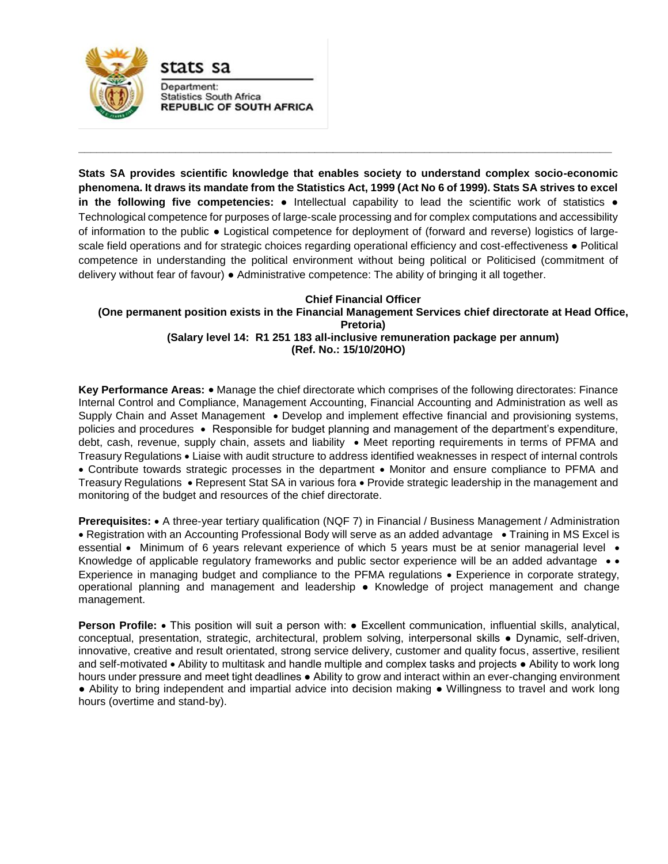

Department: **Statistics South Africa REPUBLIC OF SOUTH AFRICA** 

stats sa

**Stats SA provides scientific knowledge that enables society to understand complex socio-economic phenomena. It draws its mandate from the Statistics Act, 1999 (Act No 6 of 1999). Stats SA strives to excel in the following five competencies:** ● Intellectual capability to lead the scientific work of statistics ● Technological competence for purposes of large-scale processing and for complex computations and accessibility of information to the public ● Logistical competence for deployment of (forward and reverse) logistics of largescale field operations and for strategic choices regarding operational efficiency and cost-effectiveness ● Political competence in understanding the political environment without being political or Politicised (commitment of delivery without fear of favour) ● Administrative competence: The ability of bringing it all together.

**\_\_\_\_\_\_\_\_\_\_\_\_\_\_\_\_\_\_\_\_\_\_\_\_\_\_\_\_\_\_\_\_\_\_\_\_\_\_\_\_\_\_\_\_\_\_\_\_\_\_\_\_\_\_\_\_\_\_\_\_\_\_\_\_\_\_\_\_\_\_\_\_\_\_\_\_\_\_\_\_\_\_\_\_\_\_\_\_**

## **Chief Financial Officer (One permanent position exists in the Financial Management Services chief directorate at Head Office, Pretoria) (Salary level 14: R1 251 183 all-inclusive remuneration package per annum) (Ref. No.: 15/10/20HO)**

Key Performance Areas: • Manage the chief directorate which comprises of the following directorates: Finance Internal Control and Compliance, Management Accounting, Financial Accounting and Administration as well as Supply Chain and Asset Management • Develop and implement effective financial and provisioning systems, policies and procedures Responsible for budget planning and management of the department's expenditure, debt, cash, revenue, supply chain, assets and liability • Meet reporting requirements in terms of PFMA and Treasury Regulations Liaise with audit structure to address identified weaknesses in respect of internal controls • Contribute towards strategic processes in the department • Monitor and ensure compliance to PFMA and Treasury Regulations • Represent Stat SA in various fora • Provide strategic leadership in the management and monitoring of the budget and resources of the chief directorate.

**Prerequisites:** • A three-year tertiary qualification (NQF 7) in Financial / Business Management / Administration • Registration with an Accounting Professional Body will serve as an added advantage • Training in MS Excel is essential  $\bullet$  Minimum of 6 years relevant experience of which 5 years must be at senior managerial level  $\bullet$ Knowledge of applicable regulatory frameworks and public sector experience will be an added advantage  $\bullet\bullet$ Experience in managing budget and compliance to the PFMA regulations  $\bullet$  Experience in corporate strategy, operational planning and management and leadership ● Knowledge of project management and change management.

**Person Profile:** • This position will suit a person with: • Excellent communication, influential skills, analytical, conceptual, presentation, strategic, architectural, problem solving, interpersonal skills ● Dynamic, self-driven, innovative, creative and result orientated, strong service delivery, customer and quality focus, assertive, resilient and self-motivated • Ability to multitask and handle multiple and complex tasks and projects • Ability to work long hours under pressure and meet tight deadlines ● Ability to grow and interact within an ever-changing environment ● Ability to bring independent and impartial advice into decision making ● Willingness to travel and work long hours (overtime and stand-by).